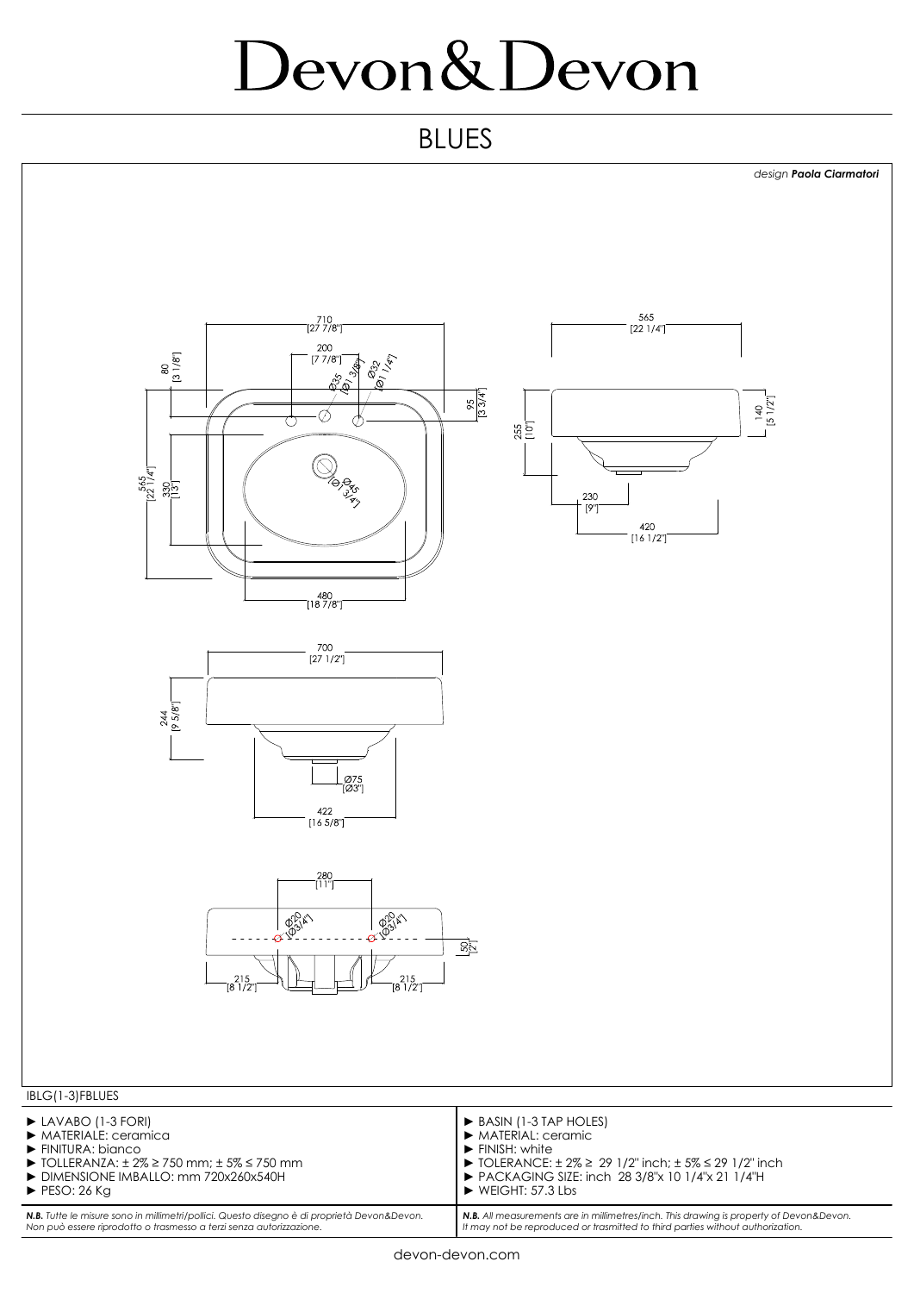## Devon&Devon

## BLUES